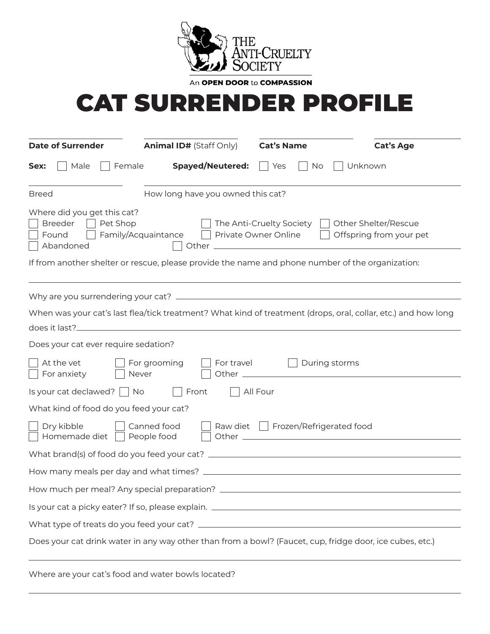

An OPEN DOOR to COMPASSION

## CAT SURRENDER PROFILE

| <b>Date of Surrender</b>                                                                                                                                                                                      | <b>Animal ID# (Staff Only)</b> | <b>Cat's Name</b> | <b>Cat's Age</b> |  |
|---------------------------------------------------------------------------------------------------------------------------------------------------------------------------------------------------------------|--------------------------------|-------------------|------------------|--|
| Male<br>Female<br>Sex:                                                                                                                                                                                        | <b>Spayed/Neutered:</b>        | Yes<br>No         | Unknown          |  |
| How long have you owned this cat?<br><b>Breed</b>                                                                                                                                                             |                                |                   |                  |  |
| Where did you get this cat?<br><b>Breeder</b><br>Pet Shop<br>The Anti-Cruelty Society     Other Shelter/Rescue<br>Family/Acquaintance □ Private Owner Online<br>Offspring from your pet<br>Found<br>Abandoned |                                |                   |                  |  |
| If from another shelter or rescue, please provide the name and phone number of the organization:                                                                                                              |                                |                   |                  |  |
|                                                                                                                                                                                                               |                                |                   |                  |  |
| When was your cat's last flea/tick treatment? What kind of treatment (drops, oral, collar, etc.) and how long<br>does it last?                                                                                |                                |                   |                  |  |
|                                                                                                                                                                                                               |                                |                   |                  |  |
| Does your cat ever require sedation?                                                                                                                                                                          |                                |                   |                  |  |
| At the vet<br>Never<br>For anxiety                                                                                                                                                                            | For grooming<br>For travel     | During storms     |                  |  |
| $\vert$ Is your cat declawed? $\vert$ No $\vert$ Front<br>All Four                                                                                                                                            |                                |                   |                  |  |
| What kind of food do you feed your cat?                                                                                                                                                                       |                                |                   |                  |  |
| Dry kibble<br>Raw diet   Frozen/Refrigerated food<br>Canned food<br>Homemade diet   People food                                                                                                               |                                |                   |                  |  |
|                                                                                                                                                                                                               |                                |                   |                  |  |
|                                                                                                                                                                                                               |                                |                   |                  |  |
|                                                                                                                                                                                                               |                                |                   |                  |  |
|                                                                                                                                                                                                               |                                |                   |                  |  |
|                                                                                                                                                                                                               |                                |                   |                  |  |
| Does your cat drink water in any way other than from a bowl? (Faucet, cup, fridge door, ice cubes, etc.)                                                                                                      |                                |                   |                  |  |

Where are your cat's food and water bowls located?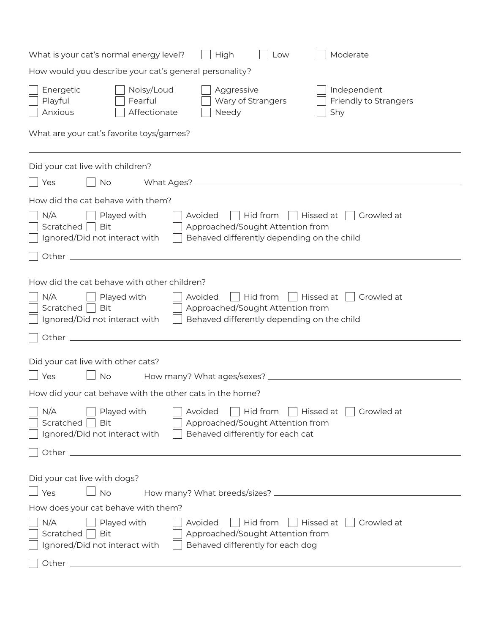| Moderate<br>What is your cat's normal energy level?<br>High<br>Low                                                                                                                                                                                                                                  |  |  |  |  |
|-----------------------------------------------------------------------------------------------------------------------------------------------------------------------------------------------------------------------------------------------------------------------------------------------------|--|--|--|--|
| How would you describe your cat's general personality?                                                                                                                                                                                                                                              |  |  |  |  |
| Energetic<br>Noisy/Loud<br>Aggressive<br>Independent<br>Playful<br>Fearful<br>Wary of Strangers<br>Friendly to Strangers<br>Anxious<br>Affectionate<br>Needy<br>Shy                                                                                                                                 |  |  |  |  |
| What are your cat's favorite toys/games?                                                                                                                                                                                                                                                            |  |  |  |  |
| Did your cat live with children?                                                                                                                                                                                                                                                                    |  |  |  |  |
| No<br>Yes                                                                                                                                                                                                                                                                                           |  |  |  |  |
| How did the cat behave with them?                                                                                                                                                                                                                                                                   |  |  |  |  |
| N/A<br>    Hissed at     Growled at<br>Played with<br>Avoided<br>    Hid from<br>Approached/Sought Attention from<br>Scratched<br><b>Bit</b><br>Behaved differently depending on the child<br>Ignored/Did not interact with                                                                         |  |  |  |  |
| Other _<br>and the control of the control of the control of the control of the control of the control of the control of the                                                                                                                                                                         |  |  |  |  |
| How did the cat behave with other children?<br>N/A<br>Avoided<br>Hid from<br>Hissed at<br>Growled at<br>Played with<br>Approached/Sought Attention from<br>Scratched<br><b>Bit</b><br>Ignored/Did not interact with<br>Behaved differently depending on the child<br>Other $\overline{\phantom{0}}$ |  |  |  |  |
|                                                                                                                                                                                                                                                                                                     |  |  |  |  |
| Did your cat live with other cats?<br>No<br>Yes                                                                                                                                                                                                                                                     |  |  |  |  |
| How did your cat behave with the other cats in the home?                                                                                                                                                                                                                                            |  |  |  |  |
| N/A<br>Played with<br>Avoided<br>Hid from<br>Hissed at<br>Growled at<br>Approached/Sought Attention from<br>Scratched<br><b>Bit</b><br>Ignored/Did not interact with<br>Behaved differently for each cat                                                                                            |  |  |  |  |
|                                                                                                                                                                                                                                                                                                     |  |  |  |  |
| Did your cat live with dogs?<br>$\Box$ Yes<br><b>No</b>                                                                                                                                                                                                                                             |  |  |  |  |
| How does your cat behave with them?                                                                                                                                                                                                                                                                 |  |  |  |  |
| N/A<br>$\vert$ Hid from<br>Hissed at<br>Growled at<br>Played with<br>Avoided<br>Approached/Sought Attention from<br>Scratched<br>Bit<br>Ignored/Did not interact with<br>Behaved differently for each dog                                                                                           |  |  |  |  |
| Other $\_$                                                                                                                                                                                                                                                                                          |  |  |  |  |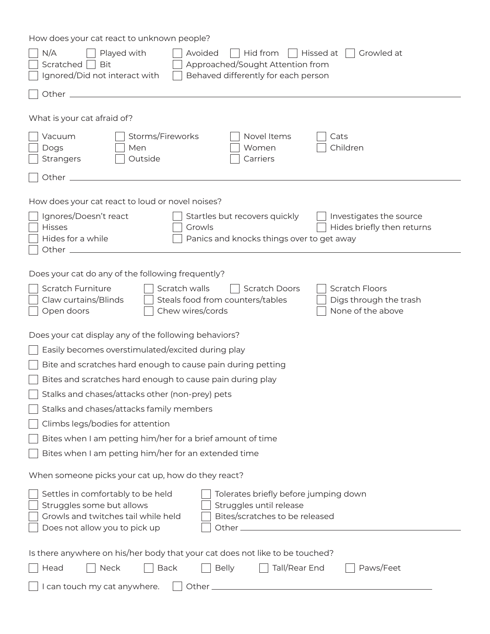How does your cat react to unknown people?

| N/A<br>Played with<br>Hid from<br>  Hissed at<br>Growled at<br>Avoided<br>Approached/Sought Attention from<br><b>Bit</b><br>Scratched<br>Ignored/Did not interact with<br>Behaved differently for each person                                                                          |  |  |  |
|----------------------------------------------------------------------------------------------------------------------------------------------------------------------------------------------------------------------------------------------------------------------------------------|--|--|--|
| Other <sub>-</sub>                                                                                                                                                                                                                                                                     |  |  |  |
| What is your cat afraid of?                                                                                                                                                                                                                                                            |  |  |  |
| Storms/Fireworks<br>Novel Items<br>Vacuum<br>Cats<br>Children<br>Dogs<br>Men<br>Women<br>Outside<br>Carriers<br><b>Strangers</b>                                                                                                                                                       |  |  |  |
| Other_                                                                                                                                                                                                                                                                                 |  |  |  |
| How does your cat react to loud or novel noises?<br>Ignores/Doesn't react<br>Startles but recovers quickly<br>Investigates the source<br><b>Hisses</b><br>Hides briefly then returns<br>Growls<br>Hides for a while<br>Panics and knocks things over to get away<br>Other <sub>-</sub> |  |  |  |
| Does your cat do any of the following frequently?<br><b>Scratch Furniture</b><br>Scratch walls<br>Scratch Doors<br><b>Scratch Floors</b><br>Claw curtains/Blinds<br>Steals food from counters/tables<br>Digs through the trash<br>Chew wires/cords<br>None of the above<br>Open doors  |  |  |  |
| Does your cat display any of the following behaviors?                                                                                                                                                                                                                                  |  |  |  |
| Easily becomes overstimulated/excited during play                                                                                                                                                                                                                                      |  |  |  |
| Bite and scratches hard enough to cause pain during petting                                                                                                                                                                                                                            |  |  |  |
| Bites and scratches hard enough to cause pain during play                                                                                                                                                                                                                              |  |  |  |
| Stalks and chases/attacks other (non-prey) pets                                                                                                                                                                                                                                        |  |  |  |
| Stalks and chases/attacks family members                                                                                                                                                                                                                                               |  |  |  |
| Climbs legs/bodies for attention                                                                                                                                                                                                                                                       |  |  |  |
| Bites when I am petting him/her for a brief amount of time                                                                                                                                                                                                                             |  |  |  |
| Bites when I am petting him/her for an extended time                                                                                                                                                                                                                                   |  |  |  |
| When someone picks your cat up, how do they react?                                                                                                                                                                                                                                     |  |  |  |
| Settles in comfortably to be held<br>Tolerates briefly before jumping down<br>Struggles until release<br>Struggles some but allows<br>Growls and twitches tail while held<br>Bites/scratches to be released<br>Does not allow you to pick up                                           |  |  |  |
| Is there anywhere on his/her body that your cat does not like to be touched?                                                                                                                                                                                                           |  |  |  |
| <b>Back</b><br><b>Belly</b><br>Tall/Rear End<br>Paws/Feet<br>Neck<br>Head                                                                                                                                                                                                              |  |  |  |
| I can touch my cat anywhere.                                                                                                                                                                                                                                                           |  |  |  |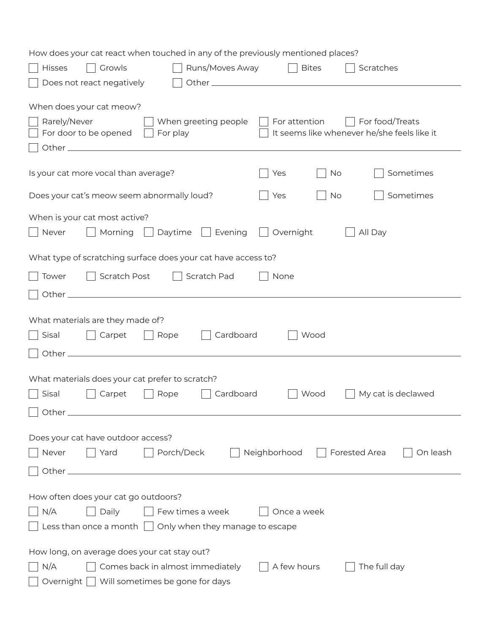| How does your cat react when touched in any of the previously mentioned places?                                                                              |  |  |  |
|--------------------------------------------------------------------------------------------------------------------------------------------------------------|--|--|--|
| Runs/Moves Away<br>Hisses<br>Growls<br><b>Bites</b><br>Scratches                                                                                             |  |  |  |
| Does not react negatively                                                                                                                                    |  |  |  |
| When does your cat meow?                                                                                                                                     |  |  |  |
| Rarely/Never<br>For food/Treats<br>When greeting people<br>For attention<br>It seems like whenever he/she feels like it<br>For door to be opened<br>For play |  |  |  |
| Sometimes<br>Is your cat more vocal than average?<br><b>No</b><br>Yes                                                                                        |  |  |  |
| Sometimes<br>Does your cat's meow seem abnormally loud?<br><b>No</b><br>Yes                                                                                  |  |  |  |
| When is your cat most active?                                                                                                                                |  |  |  |
| Daytime<br>Evening<br>Overnight<br>All Day<br>Never<br>Morning<br>$\mathbf{I}$                                                                               |  |  |  |
| What type of scratching surface does your cat have access to?                                                                                                |  |  |  |
| Scratch Post<br>Scratch Pad<br>Tower<br>None                                                                                                                 |  |  |  |
|                                                                                                                                                              |  |  |  |
|                                                                                                                                                              |  |  |  |
| What materials are they made of?                                                                                                                             |  |  |  |
| Cardboard<br>Rope<br>Wood<br>Sisal<br>Carpet                                                                                                                 |  |  |  |
|                                                                                                                                                              |  |  |  |
| What materials does your cat prefer to scratch?                                                                                                              |  |  |  |
| Cardboard<br>Sisal<br>Carpet<br>Rope<br>Wood<br>My cat is declawed                                                                                           |  |  |  |
|                                                                                                                                                              |  |  |  |
| Does your cat have outdoor access?                                                                                                                           |  |  |  |
| Yard<br>Porch/Deck<br>Forested Area<br>Never<br>Neighborhood<br>On leash                                                                                     |  |  |  |
|                                                                                                                                                              |  |  |  |
| How often does your cat go outdoors?                                                                                                                         |  |  |  |
| N/A<br>Daily<br>Once a week                                                                                                                                  |  |  |  |
| Few times a week<br>Less than once a month $\vert \ \vert$<br>Only when they manage to escape                                                                |  |  |  |
|                                                                                                                                                              |  |  |  |
| How long, on average does your cat stay out?                                                                                                                 |  |  |  |
| N/A<br>Comes back in almost immediately<br>The full day<br>A few hours                                                                                       |  |  |  |
| Will sometimes be gone for days<br>Overnight                                                                                                                 |  |  |  |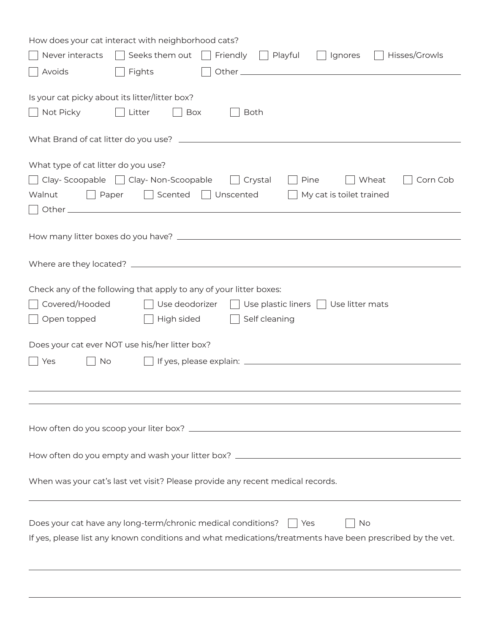| How does your cat interact with neighborhood cats?                                                          |  |  |  |  |
|-------------------------------------------------------------------------------------------------------------|--|--|--|--|
| Seeks them out<br>Hisses/Growls<br>Never interacts<br>Friendly<br>$\Box$ Playful<br>Ignores<br>$\mathbf{1}$ |  |  |  |  |
| Avoids<br>Fights                                                                                            |  |  |  |  |
|                                                                                                             |  |  |  |  |
| Is your cat picky about its litter/litter box?                                                              |  |  |  |  |
| Not Picky<br>Litter<br>Box<br><b>Both</b>                                                                   |  |  |  |  |
|                                                                                                             |  |  |  |  |
| What type of cat litter do you use?                                                                         |  |  |  |  |
| Clay-Scoopable   Clay-Non-Scoopable<br>Wheat<br>Pine<br>Corn Cob<br>Crystal                                 |  |  |  |  |
| Scented<br>My cat is toilet trained<br>Walnut<br>    Paper<br>  Unscented                                   |  |  |  |  |
|                                                                                                             |  |  |  |  |
|                                                                                                             |  |  |  |  |
|                                                                                                             |  |  |  |  |
|                                                                                                             |  |  |  |  |
|                                                                                                             |  |  |  |  |
| Check any of the following that apply to any of your litter boxes:                                          |  |  |  |  |
| Covered/Hooded<br>Use deodorizer<br>Use plastic liners $\vert \ \vert$ Use litter mats                      |  |  |  |  |
| High sided<br>Self cleaning<br>Open topped                                                                  |  |  |  |  |
| Does your cat ever NOT use his/her litter box?                                                              |  |  |  |  |
| No<br>Yes                                                                                                   |  |  |  |  |
|                                                                                                             |  |  |  |  |
|                                                                                                             |  |  |  |  |
|                                                                                                             |  |  |  |  |
|                                                                                                             |  |  |  |  |
|                                                                                                             |  |  |  |  |
| How often do you empty and wash your litter box? ________________________________                           |  |  |  |  |
| When was your cat's last vet visit? Please provide any recent medical records.                              |  |  |  |  |
|                                                                                                             |  |  |  |  |
|                                                                                                             |  |  |  |  |
| Does your cat have any long-term/chronic medical conditions?<br>II Yes<br>No.                               |  |  |  |  |
| If yes, please list any known conditions and what medications/treatments have been prescribed by the vet.   |  |  |  |  |
|                                                                                                             |  |  |  |  |